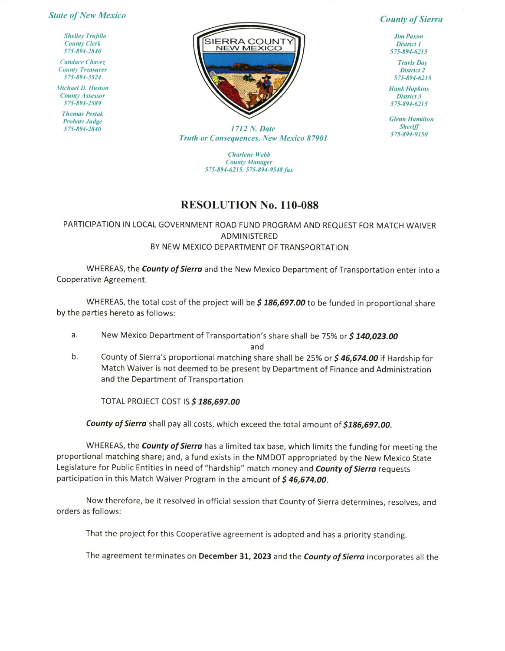## **State of New Mexico**

**Shelley Trujillo County Clerk** 575-894-2840

**Candace Chavez County Treasurer** 575-894-3524

**Michael D. Huston County Assessor** 575-894-2589

**Thomas Pestak Probate Judge** 575-894-2840



**County of Sierra** 

**Jim Paxon District 1** 575-894-6215

**Travis Day District 2** 575-894-6215

**Hank Hopkins District 3** 575-894-6215

**Glenn Hamilton Sheriff** 575-894-9150

1712 N. Date Truth or Consequences, New Mexico 87901

> **Charlene Webb County Manager** 575-894-6215, 575-894-9548 fax

## **RESOLUTION No. 110-088**

## PARTICIPATION IN LOCAL GOVERNMENT ROAD FUND PROGRAM AND REQUEST FOR MATCH WAIVER ADMINISTERED BY NEW MEXICO DEPARTMENT OF TRANSPORTATION

WHEREAS, the County of Sierra and the New Mexico Department of Transportation enter into a Cooperative Agreement.

WHEREAS, the total cost of the project will be \$186,697.00 to be funded in proportional share by the parties hereto as follows:

New Mexico Department of Transportation's share shall be 75% or \$140,023.00 a.

and

 $b.$ County of Sierra's proportional matching share shall be 25% or \$46,674.00 if Hardship for Match Waiver is not deemed to be present by Department of Finance and Administration and the Department of Transportation

TOTAL PROJECT COST IS \$186,697.00

County of Sierra shall pay all costs, which exceed the total amount of \$186,697.00.

WHEREAS, the County of Sierra has a limited tax base, which limits the funding for meeting the proportional matching share; and, a fund exists in the NMDOT appropriated by the New Mexico State Legislature for Public Entities in need of "hardship" match money and County of Sierra requests participation in this Match Waiver Program in the amount of \$46,674.00.

Now therefore, be it resolved in official session that County of Sierra determines, resolves, and orders as follows:

That the project for this Cooperative agreement is adopted and has a priority standing.

The agreement terminates on December 31, 2023 and the *County of Sierra* incorporates all the